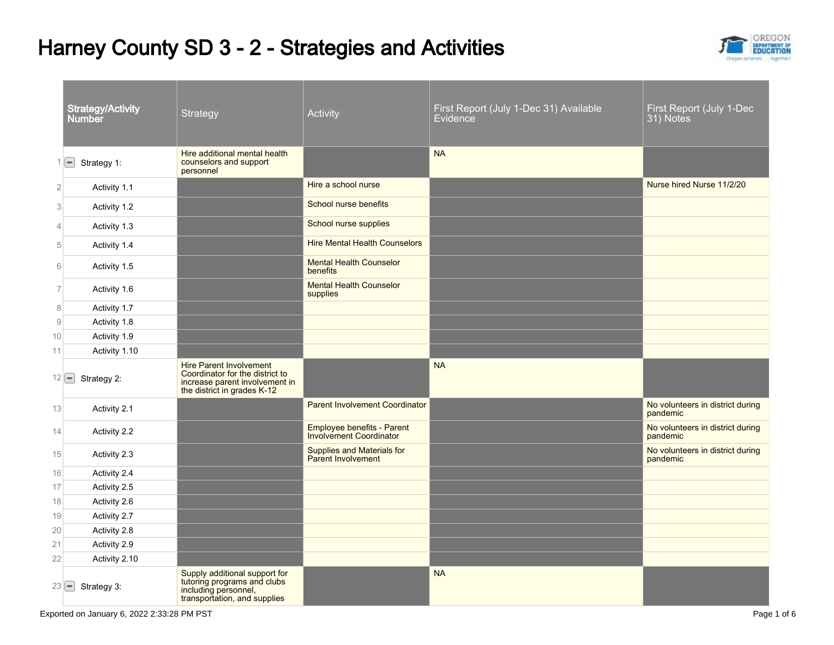## Harney County SD 3 - 2 - Strategies and Activities



|                | <b>Strategy/Activity</b><br><b>Number</b> | Strategy                                                                                                                           | Activity                                                       | First Report (July 1-Dec 31) Available<br>Evidence | First Report (July 1-Dec<br>31) Notes        |
|----------------|-------------------------------------------|------------------------------------------------------------------------------------------------------------------------------------|----------------------------------------------------------------|----------------------------------------------------|----------------------------------------------|
| 1              | Strategy 1:<br>E                          | Hire additional mental health<br>counselors and support<br>personnel                                                               |                                                                | <b>NA</b>                                          |                                              |
| $\overline{2}$ | Activity 1.1                              |                                                                                                                                    | Hire a school nurse                                            |                                                    | Nurse hired Nurse 11/2/20                    |
| 3              | Activity 1.2                              |                                                                                                                                    | School nurse benefits                                          |                                                    |                                              |
| 4              | Activity 1.3                              |                                                                                                                                    | School nurse supplies                                          |                                                    |                                              |
| $\mathbf 5$    | Activity 1.4                              |                                                                                                                                    | <b>Hire Mental Health Counselors</b>                           |                                                    |                                              |
| 6              | Activity 1.5                              |                                                                                                                                    | <b>Mental Health Counselor</b><br>benefits                     |                                                    |                                              |
| $\overline{7}$ | Activity 1.6                              |                                                                                                                                    | <b>Mental Health Counselor</b><br>supplies                     |                                                    |                                              |
| 8              | Activity 1.7                              |                                                                                                                                    |                                                                |                                                    |                                              |
| $\hbox{9}$     | Activity 1.8                              |                                                                                                                                    |                                                                |                                                    |                                              |
| 10             | Activity 1.9                              |                                                                                                                                    |                                                                |                                                    |                                              |
| 11             | Activity 1.10                             |                                                                                                                                    |                                                                |                                                    |                                              |
|                | $12$ $-$<br>Strategy 2:                   | <b>Hire Parent Involvement</b><br>Coordinator for the district to<br>increase parent involvement in<br>the district in grades K-12 |                                                                | <b>NA</b>                                          |                                              |
| 13             | Activity 2.1                              |                                                                                                                                    | <b>Parent Involvement Coordinator</b>                          |                                                    | No volunteers in district during<br>pandemic |
| 14             | Activity 2.2                              |                                                                                                                                    | Employee benefits - Parent<br><b>Involvement Coordinator</b>   |                                                    | No volunteers in district during<br>pandemic |
| 15             | Activity 2.3                              |                                                                                                                                    | <b>Supplies and Materials for</b><br><b>Parent Involvement</b> |                                                    | No volunteers in district during<br>pandemic |
| 16             | Activity 2.4                              |                                                                                                                                    |                                                                |                                                    |                                              |
| 17             | Activity 2.5                              |                                                                                                                                    |                                                                |                                                    |                                              |
| 18             | Activity 2.6                              |                                                                                                                                    |                                                                |                                                    |                                              |
| 19             | Activity 2.7                              |                                                                                                                                    |                                                                |                                                    |                                              |
| 20             | Activity 2.8                              |                                                                                                                                    |                                                                |                                                    |                                              |
| 21             | Activity 2.9                              |                                                                                                                                    |                                                                |                                                    |                                              |
| 22             | Activity 2.10                             |                                                                                                                                    |                                                                |                                                    |                                              |
|                | $23$ $-$<br>Strategy 3:                   | Supply additional support for<br>tutoring programs and clubs<br>including personnel,<br>transportation, and supplies               |                                                                | <b>NA</b>                                          |                                              |

Exported on January 6, 2022 2:33:28 PM PST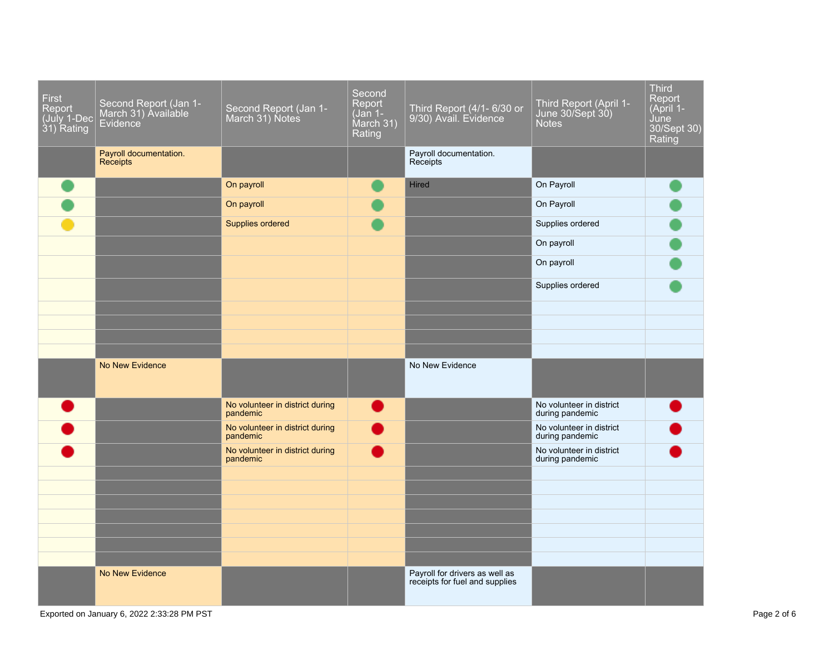| <b>First</b><br>Report<br>(July 1-Dec<br>31) Rating | Second Report (Jan 1-<br>March 31) Available<br>Evidence <sup>®</sup> | Second Report (Jan 1-<br>March 31) Notes    | Second<br>Report<br>(Jan 1-<br>March 31)<br>Rating | Third Report (4/1- 6/30 or<br>9/30) Avail. Evidence              | Third Report (April 1-<br>June 30/Sept 30)<br><b>Notes</b> | <b>Third</b><br>Report<br>(April 1-<br>June<br>30/Sept 30)<br>Rating |
|-----------------------------------------------------|-----------------------------------------------------------------------|---------------------------------------------|----------------------------------------------------|------------------------------------------------------------------|------------------------------------------------------------|----------------------------------------------------------------------|
|                                                     | Payroll documentation.<br><b>Receipts</b>                             |                                             |                                                    | Payroll documentation.<br>Receipts                               |                                                            |                                                                      |
|                                                     |                                                                       | On payroll                                  |                                                    | <b>Hired</b>                                                     | On Payroll                                                 |                                                                      |
|                                                     |                                                                       | On payroll                                  |                                                    |                                                                  | On Payroll                                                 |                                                                      |
|                                                     |                                                                       | Supplies ordered                            |                                                    |                                                                  | Supplies ordered                                           |                                                                      |
|                                                     |                                                                       |                                             |                                                    |                                                                  | On payroll                                                 |                                                                      |
|                                                     |                                                                       |                                             |                                                    |                                                                  | On payroll                                                 |                                                                      |
|                                                     |                                                                       |                                             |                                                    |                                                                  | Supplies ordered                                           |                                                                      |
|                                                     |                                                                       |                                             |                                                    |                                                                  |                                                            |                                                                      |
|                                                     |                                                                       |                                             |                                                    |                                                                  |                                                            |                                                                      |
|                                                     |                                                                       |                                             |                                                    |                                                                  |                                                            |                                                                      |
|                                                     | No New Evidence                                                       |                                             |                                                    | No New Evidence                                                  |                                                            |                                                                      |
|                                                     |                                                                       | No volunteer in district during<br>pandemic |                                                    |                                                                  | No volunteer in district<br>during pandemic                |                                                                      |
|                                                     |                                                                       | No volunteer in district during<br>pandemic |                                                    |                                                                  | No volunteer in district<br>during pandemic                |                                                                      |
|                                                     |                                                                       | No volunteer in district during<br>pandemic |                                                    |                                                                  | No volunteer in district<br>during pandemic                |                                                                      |
|                                                     |                                                                       |                                             |                                                    |                                                                  |                                                            |                                                                      |
|                                                     |                                                                       |                                             |                                                    |                                                                  |                                                            |                                                                      |
|                                                     |                                                                       |                                             |                                                    |                                                                  |                                                            |                                                                      |
|                                                     |                                                                       |                                             |                                                    |                                                                  |                                                            |                                                                      |
|                                                     |                                                                       |                                             |                                                    |                                                                  |                                                            |                                                                      |
|                                                     | No New Evidence                                                       |                                             |                                                    | Payroll for drivers as well as<br>receipts for fuel and supplies |                                                            |                                                                      |
|                                                     |                                                                       |                                             |                                                    |                                                                  |                                                            |                                                                      |

Exported on January 6, 2022 2:33:28 PM PST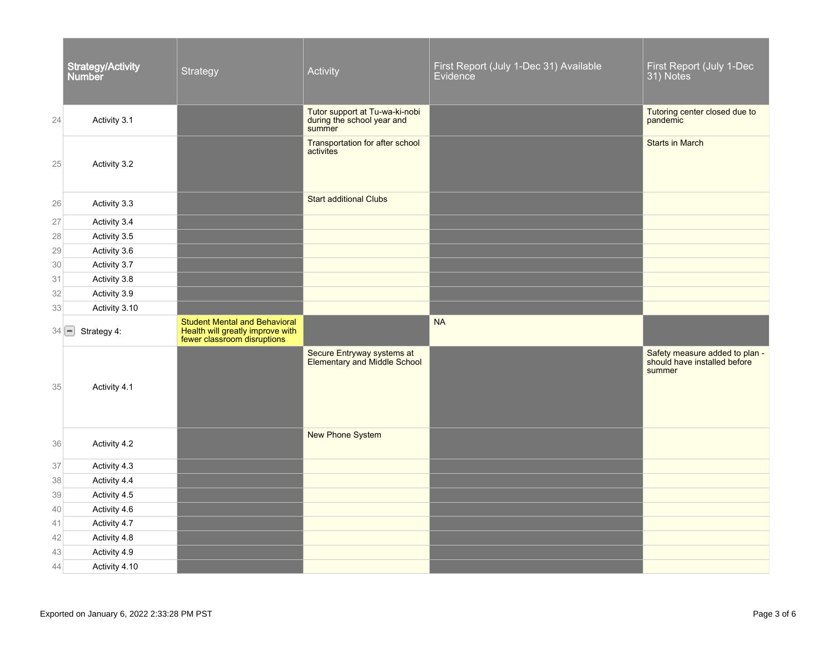|          | <b>Strategy/Activity</b><br><b>Number</b> | Strategy                                                                                                | Activity                                                               | First Report (July 1-Dec 31) Available<br>Evidence | First Report (July 1-Dec<br>31) Notes                                    |
|----------|-------------------------------------------|---------------------------------------------------------------------------------------------------------|------------------------------------------------------------------------|----------------------------------------------------|--------------------------------------------------------------------------|
| 24       | Activity 3.1                              |                                                                                                         | Tutor support at Tu-wa-ki-nobi<br>during the school year and<br>summer |                                                    | Tutoring center closed due to<br>pandemic                                |
| 25       | Activity 3.2                              |                                                                                                         | Transportation for after school<br>activites                           |                                                    | <b>Starts in March</b>                                                   |
| 26       | Activity 3.3                              |                                                                                                         | <b>Start additional Clubs</b>                                          |                                                    |                                                                          |
| 27       | Activity 3.4                              |                                                                                                         |                                                                        |                                                    |                                                                          |
| 28       | Activity 3.5                              |                                                                                                         |                                                                        |                                                    |                                                                          |
| 29       | Activity 3.6                              |                                                                                                         |                                                                        |                                                    |                                                                          |
| 30       | Activity 3.7                              |                                                                                                         |                                                                        |                                                    |                                                                          |
| 31       | Activity 3.8                              |                                                                                                         |                                                                        |                                                    |                                                                          |
| 32       | Activity 3.9                              |                                                                                                         |                                                                        |                                                    |                                                                          |
| 33       | Activity 3.10                             |                                                                                                         |                                                                        |                                                    |                                                                          |
| $34$ $-$ | Strategy 4:                               | <b>Student Mental and Behavioral</b><br>Health will greatly improve with<br>fewer classroom disruptions |                                                                        | <b>NA</b>                                          |                                                                          |
| 35       | Activity 4.1                              |                                                                                                         | Secure Entryway systems at<br>Elementary and Middle School             |                                                    | Safety measure added to plan -<br>should have installed before<br>summer |
| 36       | Activity 4.2                              |                                                                                                         | <b>New Phone System</b>                                                |                                                    |                                                                          |
| 37       | Activity 4.3                              |                                                                                                         |                                                                        |                                                    |                                                                          |
| 38       | Activity 4.4                              |                                                                                                         |                                                                        |                                                    |                                                                          |
| 39       | Activity 4.5                              |                                                                                                         |                                                                        |                                                    |                                                                          |
| 40       | Activity 4.6                              |                                                                                                         |                                                                        |                                                    |                                                                          |
| 41       | Activity 4.7                              |                                                                                                         |                                                                        |                                                    |                                                                          |
| 42       | Activity 4.8                              |                                                                                                         |                                                                        |                                                    |                                                                          |
| 43       | Activity 4.9                              |                                                                                                         |                                                                        |                                                    |                                                                          |
| 44       | Activity 4.10                             |                                                                                                         |                                                                        |                                                    |                                                                          |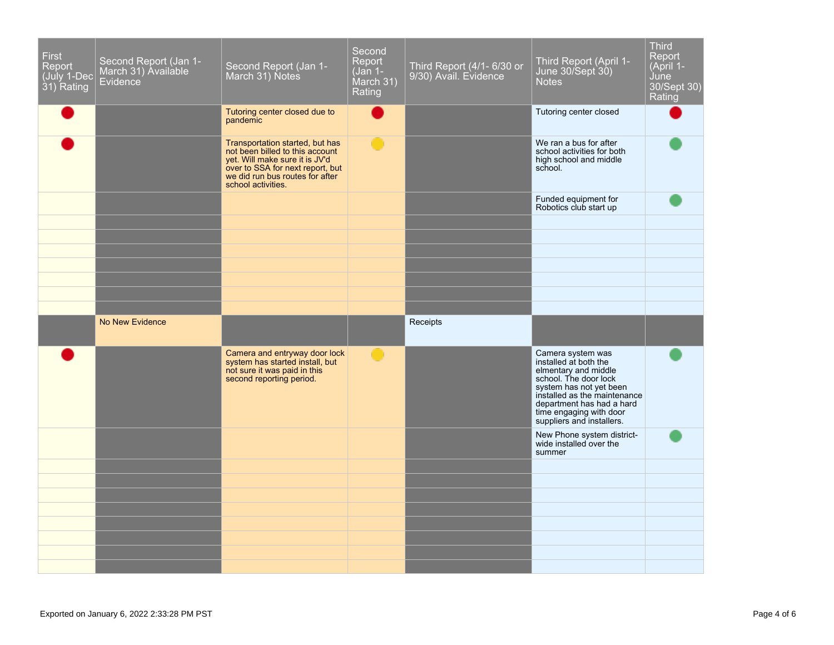| <b>First</b><br>Report<br>July 1-Dec<br>31) Rating | Second Report (Jan 1-<br>March 31) Available<br><b>Evidence</b> | Second Report (Jan 1-<br>March 31) Notes                                                                                                                                                          | Second<br>Report<br>(Jan 1-<br>March 31)<br>Rating | Third Report (4/1- 6/30 or<br>9/30) Avail. Evidence | Third Report (April 1-<br>June 30/Sept 30)<br><b>Notes</b>                                                                                                                                    | <b>Third</b><br>Report<br>(April 1-<br>June<br>30/Sept 30)<br>Rating |
|----------------------------------------------------|-----------------------------------------------------------------|---------------------------------------------------------------------------------------------------------------------------------------------------------------------------------------------------|----------------------------------------------------|-----------------------------------------------------|-----------------------------------------------------------------------------------------------------------------------------------------------------------------------------------------------|----------------------------------------------------------------------|
|                                                    |                                                                 | Tutoring center closed due to<br>pandemic                                                                                                                                                         |                                                    |                                                     | Tutoring center closed                                                                                                                                                                        |                                                                      |
|                                                    |                                                                 | Transportation started, but has<br>not been billed to this account<br>yet. Will make sure it is JV'd<br>over to SSA for next report, but<br>we did run bus routes for after<br>school activities. |                                                    |                                                     | We ran a bus for after<br>school activities for both<br>high school and middle<br>school.                                                                                                     |                                                                      |
|                                                    |                                                                 |                                                                                                                                                                                                   |                                                    |                                                     | Funded equipment for<br>Robotics club start up                                                                                                                                                |                                                                      |
|                                                    |                                                                 |                                                                                                                                                                                                   |                                                    |                                                     |                                                                                                                                                                                               |                                                                      |
|                                                    |                                                                 |                                                                                                                                                                                                   |                                                    |                                                     |                                                                                                                                                                                               |                                                                      |
|                                                    |                                                                 |                                                                                                                                                                                                   |                                                    |                                                     |                                                                                                                                                                                               |                                                                      |
|                                                    |                                                                 |                                                                                                                                                                                                   |                                                    |                                                     |                                                                                                                                                                                               |                                                                      |
|                                                    | <b>No New Evidence</b>                                          |                                                                                                                                                                                                   |                                                    | Receipts                                            |                                                                                                                                                                                               |                                                                      |
|                                                    |                                                                 | Camera and entryway door lock<br>system has started install, but<br>not sure it was paid in this                                                                                                  | O                                                  |                                                     | Camera system was<br>installed at both the                                                                                                                                                    |                                                                      |
|                                                    |                                                                 | second reporting period.                                                                                                                                                                          |                                                    |                                                     | elmentary and middle<br>school. The door lock<br>system has not yet been<br>installed as the maintenance<br>department has had a hard<br>time engaging with door<br>suppliers and installers. |                                                                      |
|                                                    |                                                                 |                                                                                                                                                                                                   |                                                    |                                                     | New Phone system district-<br>wide installed over the<br>summer                                                                                                                               |                                                                      |
|                                                    |                                                                 |                                                                                                                                                                                                   |                                                    |                                                     |                                                                                                                                                                                               |                                                                      |
|                                                    |                                                                 |                                                                                                                                                                                                   |                                                    |                                                     |                                                                                                                                                                                               |                                                                      |
|                                                    |                                                                 |                                                                                                                                                                                                   |                                                    |                                                     |                                                                                                                                                                                               |                                                                      |
|                                                    |                                                                 |                                                                                                                                                                                                   |                                                    |                                                     |                                                                                                                                                                                               |                                                                      |
|                                                    |                                                                 |                                                                                                                                                                                                   |                                                    |                                                     |                                                                                                                                                                                               |                                                                      |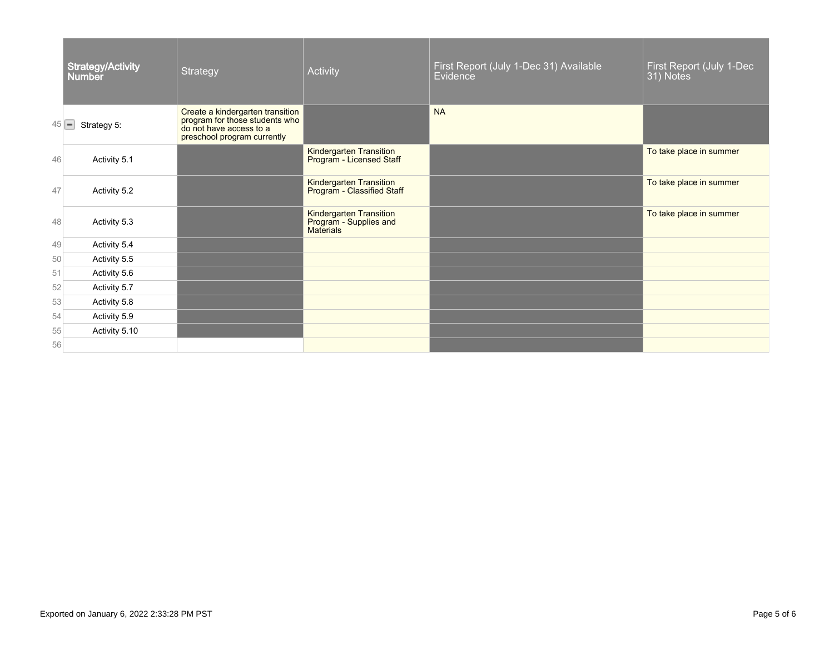|          | <b>Strategy/Activity</b><br><b>Number</b> | Strategy                                                                                                                     | Activity                                                       | First Report (July 1-Dec 31) Available<br>Evidence | First Report (July 1-Dec<br>31) Notes |
|----------|-------------------------------------------|------------------------------------------------------------------------------------------------------------------------------|----------------------------------------------------------------|----------------------------------------------------|---------------------------------------|
| $45$ $-$ | Strategy 5:                               | Create a kindergarten transition<br>program for those students who<br>do not have access to a<br>preschool program currently |                                                                | <b>NA</b>                                          |                                       |
| 46       | Activity 5.1                              |                                                                                                                              | Kindergarten Transition<br>Program - Licensed Staff            |                                                    | To take place in summer               |
| 47       | Activity 5.2                              |                                                                                                                              | Kindergarten Transition<br>Program - Classified Staff          |                                                    | To take place in summer               |
| 48       | Activity 5.3                              |                                                                                                                              | Kindergarten Transition<br>Program - Supplies and<br>Materials |                                                    | To take place in summer               |
| 49       | Activity 5.4                              |                                                                                                                              |                                                                |                                                    |                                       |
| 50       | Activity 5.5                              |                                                                                                                              |                                                                |                                                    |                                       |
| 51       | Activity 5.6                              |                                                                                                                              |                                                                |                                                    |                                       |
| 52       | Activity 5.7                              |                                                                                                                              |                                                                |                                                    |                                       |
| 53       | Activity 5.8                              |                                                                                                                              |                                                                |                                                    |                                       |
| 54       | Activity 5.9                              |                                                                                                                              |                                                                |                                                    |                                       |
| 55       | Activity 5.10                             |                                                                                                                              |                                                                |                                                    |                                       |
| 56       |                                           |                                                                                                                              |                                                                |                                                    |                                       |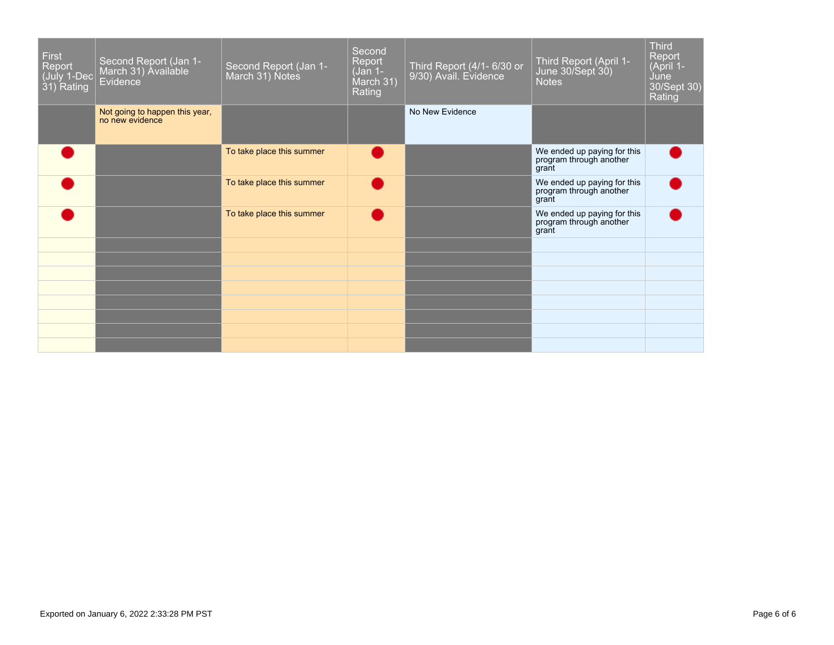| <b>First</b><br>Report<br>(July 1-Dec<br>31) Rating | Second Report (Jan 1-<br>March 31) Available<br>Evidence <sup>®</sup> | Second Report (Jan 1-<br>March 31) Notes | Second<br>Report<br>(Jan 1-<br>March 31)<br>Rating | Third Report (4/1- 6/30 or | Third Report (April 1-<br>June 30/Sept 30)<br><b>Notes</b>      | <b>Third</b><br>Report<br>(April 1-<br>June<br>30/Sept 30)<br>Rating |
|-----------------------------------------------------|-----------------------------------------------------------------------|------------------------------------------|----------------------------------------------------|----------------------------|-----------------------------------------------------------------|----------------------------------------------------------------------|
|                                                     | Not going to happen this year,<br>no new evidence                     |                                          |                                                    | No New Evidence            |                                                                 |                                                                      |
|                                                     |                                                                       | To take place this summer                |                                                    |                            | We ended up paying for this<br>program through another<br>grant |                                                                      |
|                                                     |                                                                       | To take place this summer                |                                                    |                            | We ended up paying for this<br>program through another<br>grant |                                                                      |
|                                                     |                                                                       | To take place this summer                |                                                    |                            | We ended up paying for this<br>program through another<br>grant |                                                                      |
|                                                     |                                                                       |                                          |                                                    |                            |                                                                 |                                                                      |
|                                                     |                                                                       |                                          |                                                    |                            |                                                                 |                                                                      |
|                                                     |                                                                       |                                          |                                                    |                            |                                                                 |                                                                      |
|                                                     |                                                                       |                                          |                                                    |                            |                                                                 |                                                                      |
|                                                     |                                                                       |                                          |                                                    |                            |                                                                 |                                                                      |
|                                                     |                                                                       |                                          |                                                    |                            |                                                                 |                                                                      |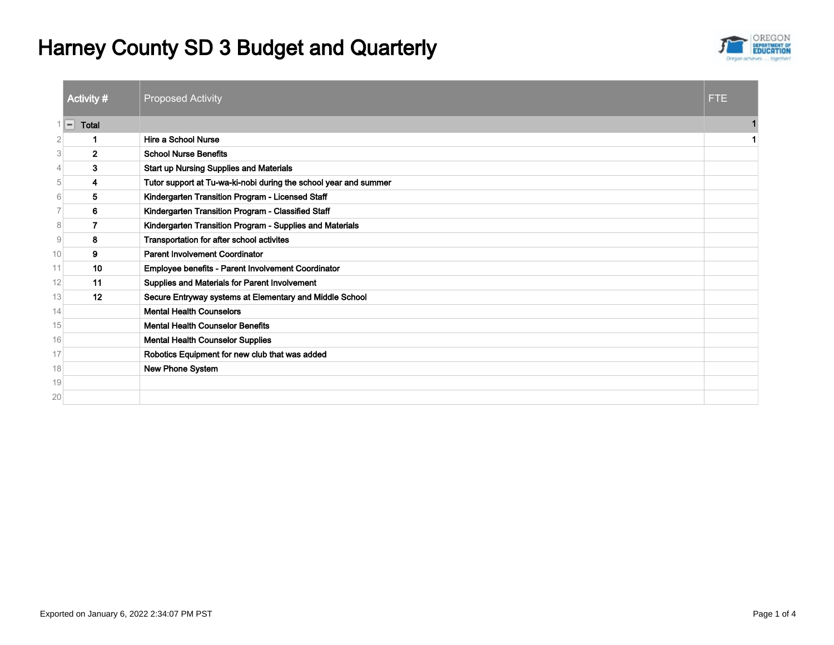# Harney County SD 3 Budget and Quarterly



|                | Activity #            | <b>Proposed Activity</b>                                         | FTE. |
|----------------|-----------------------|------------------------------------------------------------------|------|
| 1              | <b>Total</b><br>$ - $ |                                                                  |      |
| $\overline{2}$ |                       | Hire a School Nurse                                              |      |
| 3              | $\mathbf{2}$          | <b>School Nurse Benefits</b>                                     |      |
| $\overline{4}$ | 3                     | <b>Start up Nursing Supplies and Materials</b>                   |      |
| 5              | 4                     | Tutor support at Tu-wa-ki-nobi during the school year and summer |      |
| 6              | 5                     | Kindergarten Transition Program - Licensed Staff                 |      |
| 7              | 6                     | Kindergarten Transition Program - Classified Staff               |      |
| 8              | 7                     | Kindergarten Transition Program - Supplies and Materials         |      |
| $\mathcal{G}$  | 8                     | Transportation for after school activites                        |      |
| 10             | 9                     | <b>Parent Involvement Coordinator</b>                            |      |
| 11             | 10                    | Employee benefits - Parent Involvement Coordinator               |      |
| 12             | 11                    | Supplies and Materials for Parent Involvement                    |      |
| 13             | 12                    | Secure Entryway systems at Elementary and Middle School          |      |
| 14             |                       | <b>Mental Health Counselors</b>                                  |      |
| 15             |                       | <b>Mental Health Counselor Benefits</b>                          |      |
| 16             |                       | <b>Mental Health Counselor Supplies</b>                          |      |
| 17             |                       | Robotics Equipment for new club that was added                   |      |
| 18             |                       | New Phone System                                                 |      |
| 19             |                       |                                                                  |      |
| 20             |                       |                                                                  |      |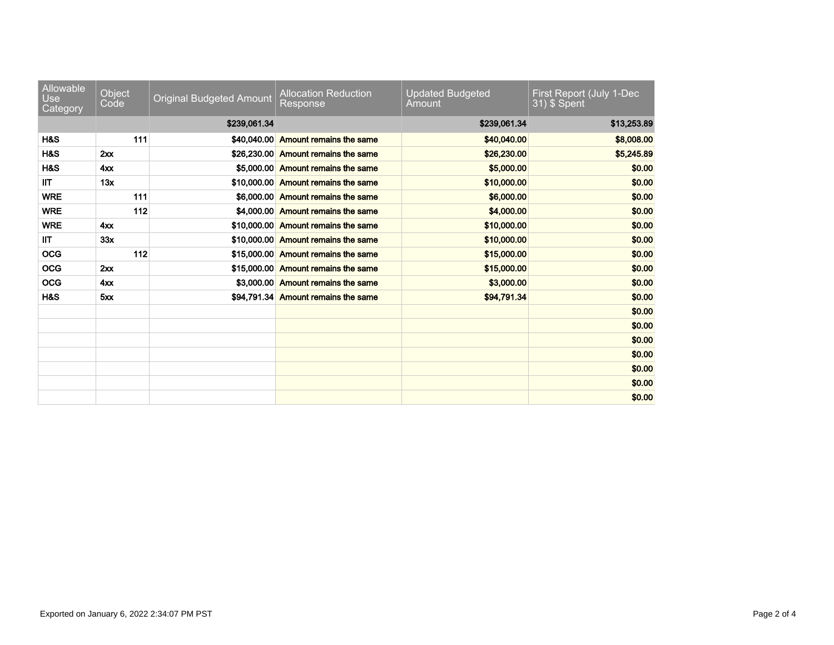| Allowable<br><b>Use</b><br>Category | Object<br>Code | <b>Original Budgeted Amount</b> | <b>Allocation Reduction</b><br>Response | <b>Updated Budgeted</b><br>Amount | First Report (July 1-Dec<br>31) \$ Spent |
|-------------------------------------|----------------|---------------------------------|-----------------------------------------|-----------------------------------|------------------------------------------|
|                                     |                | \$239,061.34                    |                                         | \$239,061.34                      | \$13,253.89                              |
| H&S                                 | 111            |                                 | \$40,040,00 Amount remains the same     | \$40,040.00                       | \$8,008.00                               |
| H&S                                 | 2xx            |                                 | \$26,230.00 Amount remains the same     | \$26,230.00                       | \$5,245.89                               |
| H&S                                 | 4xx            |                                 | \$5,000.00 Amount remains the same      | \$5,000.00                        | \$0.00                                   |
| <b>IIT</b>                          | 13x            |                                 | \$10,000.00 Amount remains the same     | \$10,000.00                       | \$0.00                                   |
| <b>WRE</b>                          | 111            |                                 | \$6,000.00 Amount remains the same      | \$6,000.00                        | \$0.00                                   |
| <b>WRE</b>                          | 112            |                                 | \$4,000.00 Amount remains the same      | \$4,000.00                        | \$0.00                                   |
| <b>WRE</b>                          | $4x^2$         |                                 | \$10,000.00 Amount remains the same     | \$10,000.00                       | \$0.00                                   |
| <b>IIT</b>                          | 33x            |                                 | \$10,000,00 Amount remains the same     | \$10,000.00                       | \$0.00                                   |
| <b>OCG</b>                          | 112            |                                 | \$15,000,00 Amount remains the same     | \$15,000.00                       | \$0.00                                   |
| <b>OCG</b>                          | $2x^2$         |                                 | \$15,000.00 Amount remains the same     | \$15,000.00                       | \$0.00                                   |
| <b>OCG</b>                          | 4xx            |                                 | \$3,000.00 Amount remains the same      | \$3,000.00                        | \$0.00                                   |
| H&S                                 | 5xx            |                                 | \$94.791.34 Amount remains the same     | \$94,791.34                       | \$0.00                                   |
|                                     |                |                                 |                                         |                                   | \$0.00                                   |
|                                     |                |                                 |                                         |                                   | \$0.00                                   |
|                                     |                |                                 |                                         |                                   | \$0.00                                   |
|                                     |                |                                 |                                         |                                   | \$0.00                                   |
|                                     |                |                                 |                                         |                                   | \$0.00                                   |
|                                     |                |                                 |                                         |                                   | \$0.00                                   |
|                                     |                |                                 |                                         |                                   | \$0.00                                   |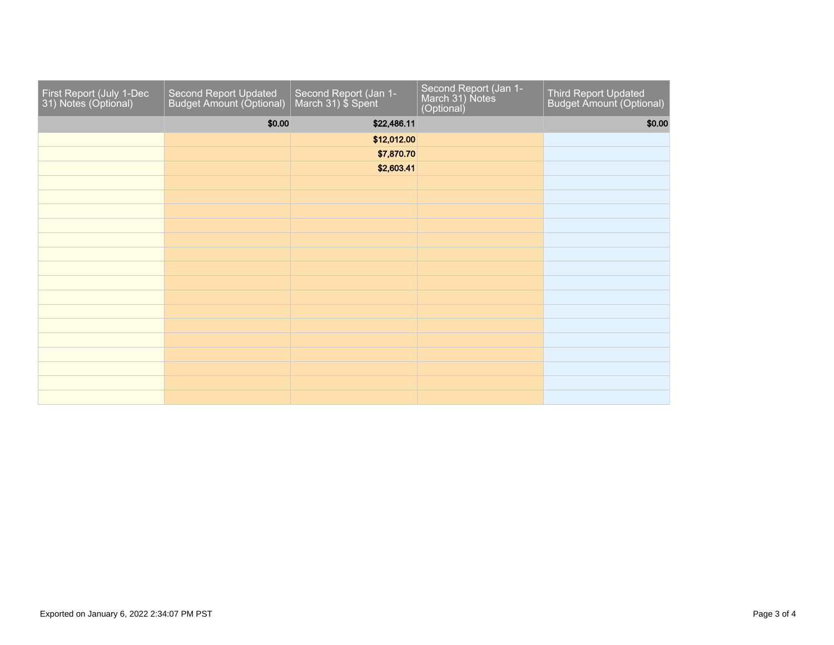| First Report (July 1-Dec 31) Notes (Optional) | Second Report Updated<br>Budget Amount (Optional) | Second Report (Jan 1-<br>March 31) \$ Spent | Second Report (Jan 1-<br>March 31) Notes<br>(Optional) | Third Report Updated<br>Budget Amount (Optional) |
|-----------------------------------------------|---------------------------------------------------|---------------------------------------------|--------------------------------------------------------|--------------------------------------------------|
|                                               | \$0.00                                            | \$22,486.11                                 |                                                        | \$0.00                                           |
|                                               |                                                   | \$12,012.00                                 |                                                        |                                                  |
|                                               |                                                   | \$7,870.70                                  |                                                        |                                                  |
|                                               |                                                   | \$2,603.41                                  |                                                        |                                                  |
|                                               |                                                   |                                             |                                                        |                                                  |
|                                               |                                                   |                                             |                                                        |                                                  |
|                                               |                                                   |                                             |                                                        |                                                  |
|                                               |                                                   |                                             |                                                        |                                                  |
|                                               |                                                   |                                             |                                                        |                                                  |
|                                               |                                                   |                                             |                                                        |                                                  |
|                                               |                                                   |                                             |                                                        |                                                  |
|                                               |                                                   |                                             |                                                        |                                                  |
|                                               |                                                   |                                             |                                                        |                                                  |
|                                               |                                                   |                                             |                                                        |                                                  |
|                                               |                                                   |                                             |                                                        |                                                  |
|                                               |                                                   |                                             |                                                        |                                                  |
|                                               |                                                   |                                             |                                                        |                                                  |
|                                               |                                                   |                                             |                                                        |                                                  |
|                                               |                                                   |                                             |                                                        |                                                  |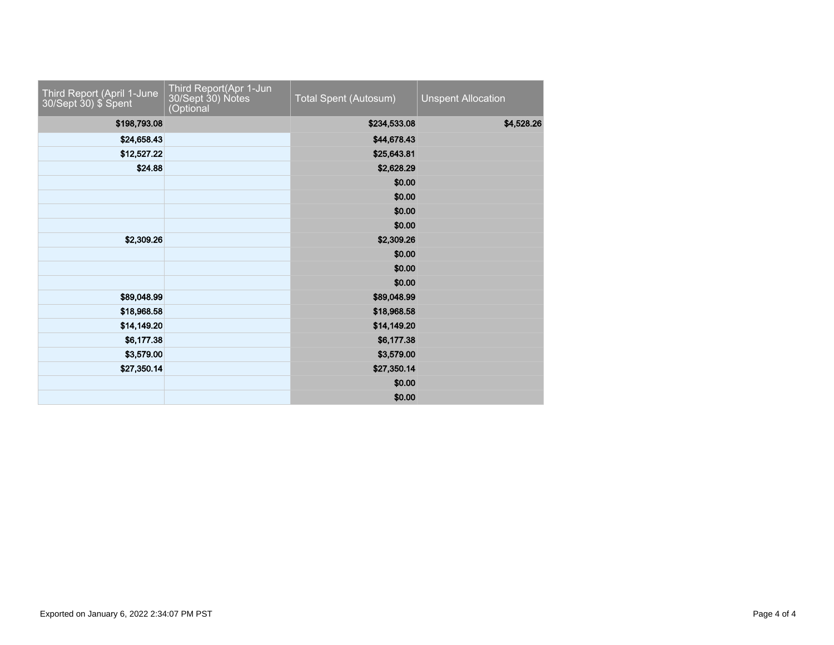| Third Report (April 1-June<br>30/Sept 30) \$ Spent | Third Report(Apr 1-Jun<br>30/Sept 30) Notes<br>(Optional | Total Spent (Autosum) | <b>Unspent Allocation</b> |
|----------------------------------------------------|----------------------------------------------------------|-----------------------|---------------------------|
| \$198,793.08                                       |                                                          | \$234,533.08          | \$4,528.26                |
| \$24,658.43                                        |                                                          | \$44,678.43           |                           |
| \$12,527.22                                        |                                                          | \$25,643.81           |                           |
| \$24.88                                            |                                                          | \$2,628.29            |                           |
|                                                    |                                                          | \$0.00                |                           |
|                                                    |                                                          | \$0.00                |                           |
|                                                    |                                                          | \$0.00                |                           |
|                                                    |                                                          | \$0.00                |                           |
| \$2,309.26                                         |                                                          | \$2,309.26            |                           |
|                                                    |                                                          | \$0.00                |                           |
|                                                    |                                                          | \$0.00                |                           |
|                                                    |                                                          | \$0.00                |                           |
| \$89,048.99                                        |                                                          | \$89,048.99           |                           |
| \$18,968.58                                        |                                                          | \$18,968.58           |                           |
| \$14,149.20                                        |                                                          | \$14,149.20           |                           |
| \$6,177.38                                         |                                                          | \$6,177.38            |                           |
| \$3,579.00                                         |                                                          | \$3,579.00            |                           |
| \$27,350.14                                        |                                                          | \$27,350.14           |                           |
|                                                    |                                                          | \$0.00                |                           |
|                                                    |                                                          | \$0.00                |                           |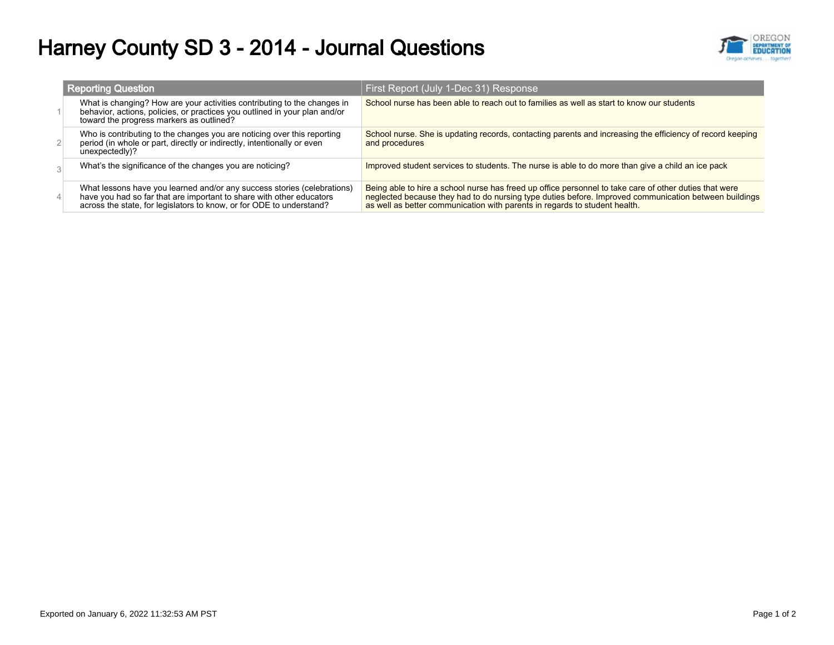# Harney County SD 3 - 2014 - Journal Questions



| <b>Reporting Question</b>                                                                                                                                                                                               | First Report (July 1-Dec 31) Response                                                                                                                                                                                                                                                         |
|-------------------------------------------------------------------------------------------------------------------------------------------------------------------------------------------------------------------------|-----------------------------------------------------------------------------------------------------------------------------------------------------------------------------------------------------------------------------------------------------------------------------------------------|
| What is changing? How are your activities contributing to the changes in<br>behavior, actions, policies, or practices you outlined in your plan and/or<br>toward the progress markers as outlined?                      | School nurse has been able to reach out to families as well as start to know our students                                                                                                                                                                                                     |
| Who is contributing to the changes you are noticing over this reporting<br>period (in whole or part, directly or indirectly, intentionally or even<br>unexpectedly)?                                                    | School nurse. She is updating records, contacting parents and increasing the efficiency of record keeping<br>and procedures                                                                                                                                                                   |
| What's the significance of the changes you are noticing?                                                                                                                                                                | Improved student services to students. The nurse is able to do more than give a child an ice pack                                                                                                                                                                                             |
| What lessons have you learned and/or any success stories (celebrations)<br>have you had so far that are important to share with other educators<br>across the state, for legislators to know, or for ODE to understand? | Being able to hire a school nurse has freed up office personnel to take care of other duties that were<br>neglected because they had to do nursing type duties before. Improved communication between buildings<br>as well as better communication with parents in regards to student health. |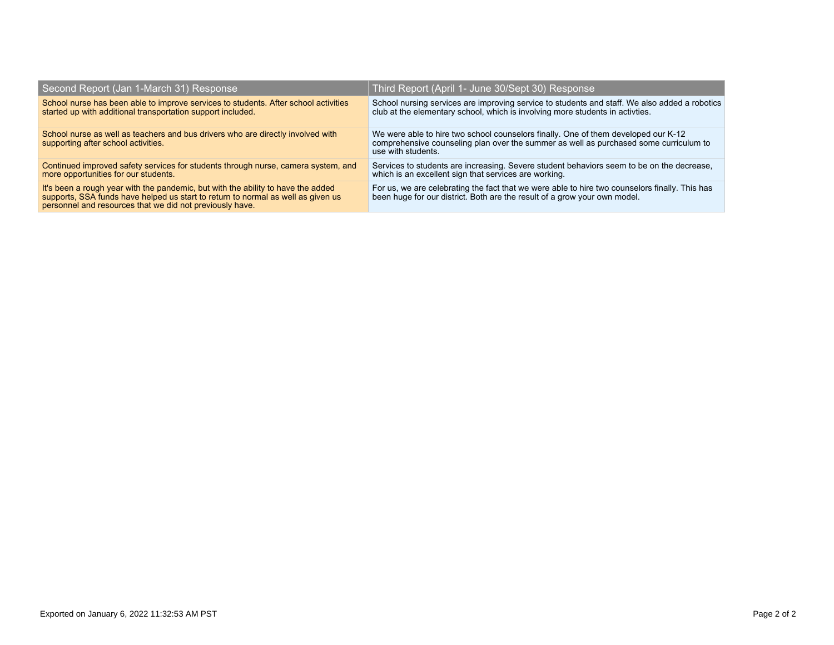| Second Report (Jan 1-March 31) Response                                                                                                                                                                                          | Third Report (April 1- June 30/Sept 30) Response                                                                                                                                                  |
|----------------------------------------------------------------------------------------------------------------------------------------------------------------------------------------------------------------------------------|---------------------------------------------------------------------------------------------------------------------------------------------------------------------------------------------------|
| School nurse has been able to improve services to students. After school activities<br>started up with additional transportation support included.                                                                               | School nursing services are improving service to students and staff. We also added a robotics club at the elementary school, which is involving more students in activities.                      |
| School nurse as well as teachers and bus drivers who are directly involved with<br>supporting after school activities.                                                                                                           | We were able to hire two school counselors finally. One of them developed our K-12<br>comprehensive counseling plan over the summer as well as purchased some curriculum to<br>use with students. |
| Continued improved safety services for students through nurse, camera system, and<br>more opportunities for our students.                                                                                                        | Services to students are increasing. Severe student behaviors seem to be on the decrease,<br>which is an excellent sign that services are working.                                                |
| It's been a rough year with the pandemic, but with the ability to have the added<br>supports, SSA funds have helped us start to return to normal as well as given us<br>personnel and resources that we did not previously have. | For us, we are celebrating the fact that we were able to hire two counselors finally. This has<br>been huge for our district. Both are the result of a grow your own model.                       |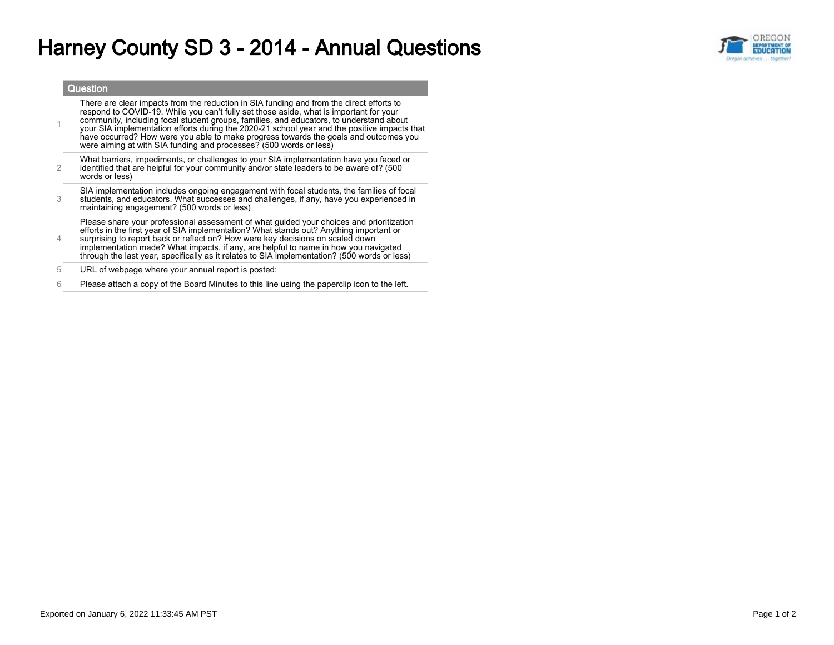## Harney County SD 3 - 2014 - Annual Questions



|                | Question                                                                                                                                                                                                                                                                                                                                                                                                                                                                                                                                    |
|----------------|---------------------------------------------------------------------------------------------------------------------------------------------------------------------------------------------------------------------------------------------------------------------------------------------------------------------------------------------------------------------------------------------------------------------------------------------------------------------------------------------------------------------------------------------|
|                | There are clear impacts from the reduction in SIA funding and from the direct efforts to<br>respond to COVID-19. While you can't fully set those aside, what is important for your<br>community, including focal student groups, families, and educators, to understand about<br>your SIA implementation efforts during the 2020-21 school year and the positive impacts that<br>have occurred? How were you able to make progress towards the goals and outcomes you<br>were aiming at with SIA funding and processes? (500 words or less) |
| $\overline{2}$ | What barriers, impediments, or challenges to your SIA implementation have you faced or<br>identified that are helpful for your community and/or state leaders to be aware of? (500<br>words or less)                                                                                                                                                                                                                                                                                                                                        |
| 3              | SIA implementation includes ongoing engagement with focal students, the families of focal<br>students, and educators. What successes and challenges, if any, have you experienced in<br>maintaining engagement? (500 words or less)                                                                                                                                                                                                                                                                                                         |
|                | Please share your professional assessment of what guided your choices and prioritization<br>efforts in the first year of SIA implementation? What stands out? Anything important or<br>surprising to report back or reflect on? How were key decisions on scaled down<br>implementation made? What impacts, if any, are helpful to name in how you navigated<br>through the last year, specifically as it relates to SIA implementation? (500 words or less)                                                                                |
| 5              | URL of webpage where your annual report is posted:                                                                                                                                                                                                                                                                                                                                                                                                                                                                                          |
| 6              | Please attach a copy of the Board Minutes to this line using the paperclip icon to the left.                                                                                                                                                                                                                                                                                                                                                                                                                                                |
|                |                                                                                                                                                                                                                                                                                                                                                                                                                                                                                                                                             |